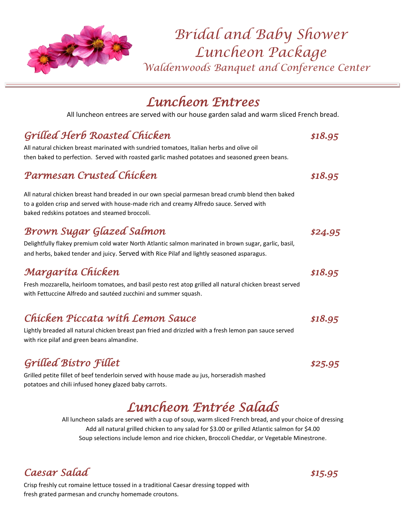

*Bridal and Baby Shower Luncheon Package Waldenwoods Banquet and Conference Center*

# *Luncheon Entrees*

All luncheon entrees are served with our house garden salad and warm sliced French bread.

### *Grilled Herb Roasted Chicken \$18.95*

All natural chicken breast marinated with sundried tomatoes, Italian herbs and olive oil then baked to perfection. Served with roasted garlic mashed potatoes and seasoned green beans.

#### *Parmesan Crusted Chicken \$18.95*

All natural chicken breast hand breaded in our own special parmesan bread crumb blend then baked to a golden crisp and served with house-made rich and creamy Alfredo sauce. Served with baked redskins potatoes and steamed broccoli.

### *Brown Sugar Glazed Salmon \$24.95*

Delightfully flakey premium cold water North Atlantic salmon marinated in brown sugar, garlic, basil, and herbs, baked tender and juicy. Served with Rice Pilaf and lightly seasoned asparagus.

### *Margarita Chicken \$18.95*

Fresh mozzarella, heirloom tomatoes, and basil pesto rest atop grilled all natural chicken breast served with Fettuccine Alfredo and sautéed zucchini and summer squash.

### *Chicken Piccata with Lemon Sauce \$18.95*

Lightly breaded all natural chicken breast pan fried and drizzled with a fresh lemon pan sauce served with rice pilaf and green beans almandine.

## *Grilled Bistro Fillet \$25.95*

Grilled petite fillet of beef tenderloin served with house made au jus, horseradish mashed potatoes and chili infused honey glazed baby carrots.

# *Luncheon Entrée Salads*

All luncheon salads are served with a cup of soup, warm sliced French bread, and your choice of dressing Add all natural grilled chicken to any salad for \$3.00 or grilled Atlantic salmon for \$4.00 Soup selections include lemon and rice chicken, Broccoli Cheddar, or Vegetable Minestrone.

### *Caesar Salad \$15.95*

Crisp freshly cut romaine lettuce tossed in a traditional Caesar dressing topped with fresh grated parmesan and crunchy homemade croutons.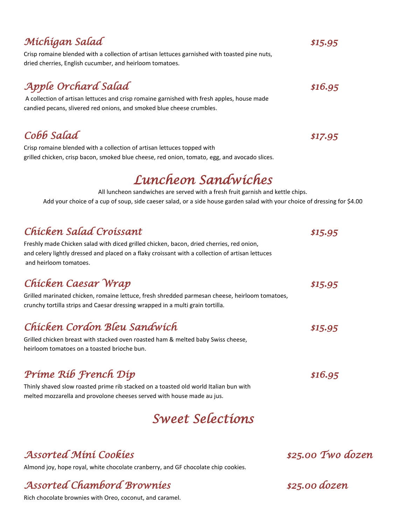### *Michigan Salad \$15.95*

dried cherries, English cucumber, and heirloom tomatoes.

## *Apple Orchard Salad* \$16.95

A collection of artisan lettuces and crisp romaine garnished with fresh apples, house made candied pecans, slivered red onions, and smoked blue cheese crumbles.

Crisp romaine blended with a collection of artisan lettuces garnished with toasted pine nuts,

*Cobb Salad \$17.95* 

Crisp romaine blended with a collection of artisan lettuces topped with grilled chicken, crisp bacon, smoked blue cheese, red onion, tomato, egg, and avocado slices.

# *Luncheon Sandwiches*

All luncheon sandwiches are served with a fresh fruit garnish and kettle chips. Add your choice of a cup of soup, side caeser salad, or a side house garden salad with your choice of dressing for \$4.00

### *Chicken Salad Croissant \$15.95*

Freshly made Chicken salad with diced grilled chicken, bacon, dried cherries, red onion, and celery lightly dressed and placed on a flaky croissant with a collection of artisan lettuces and heirloom tomatoes.

### *Chicken Caesar Wrap \$15.95*

Grilled marinated chicken, romaine lettuce, fresh shredded parmesan cheese, heirloom tomatoes, crunchy tortilla strips and Caesar dressing wrapped in a multi grain tortilla.

### *Chicken Cordon Bleu Sandwich \$15.95*

Grilled chicken breast with stacked oven roasted ham & melted baby Swiss cheese, heirloom tomatoes on a toasted brioche bun.

## *Prime Rib French Dip*  $$16.95$

Thinly shaved slow roasted prime rib stacked on a toasted old world Italian bun with melted mozzarella and provolone cheeses served with house made au jus.

# *Sweet Selections*

### *Assorted Mini Cookies \$25.00 Two dozen*

Almond joy, hope royal, white chocolate cranberry, and GF chocolate chip cookies.

## *Assorted Chambord Brownies \$25.00 dozen*

Rich chocolate brownies with Oreo, coconut, and caramel.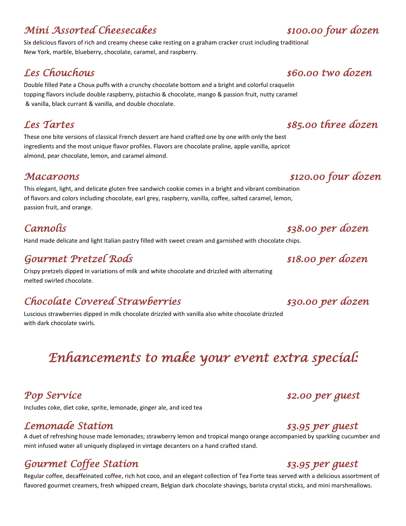### *Mini Assorted Cheesecakes \$100.00 four dozen*

Six delicious flavors of rich and creamy cheese cake resting on a graham cracker crust including traditional New York, marble, blueberry, chocolate, caramel, and raspberry.

Double filled Pate a Choux puffs with a crunchy chocolate bottom and a bright and colorful craquelin topping flavors include double raspberry, pistachio & chocolate, mango & passion fruit, nutty caramel & vanilla, black currant & vanilla, and double chocolate.

These one bite versions of classical French dessert are hand crafted one by one with only the best ingredients and the most unique flavor profiles. Flavors are chocolate praline, apple vanilla, apricot almond, pear chocolate, lemon, and caramel almond.

#### *Macaroons \$120.00 four dozen*

This elegant, light, and delicate gluten free sandwich cookie comes in a bright and vibrant combination of flavors and colors including chocolate, earl grey, raspberry, vanilla, coffee, salted caramel, lemon, passion fruit, and orange.

Hand made delicate and light Italian pastry filled with sweet cream and garnished with chocolate chips.

### *Gourmet Pretzel Rods \$18.00 per dozen*

Crispy pretzels dipped in variations of milk and white chocolate and drizzled with alternating melted swirled chocolate.

### *Chocolate Covered Strawberries \$30.00 per dozen*

Luscious strawberries dipped in milk chocolate drizzled with vanilla also white chocolate drizzled with dark chocolate swirls.

# *Enhancements to make your event extra special:*

## **Pop Service**  $\qquad \qquad$  **2.00 per guest**

Includes coke, diet coke, sprite, lemonade, ginger ale, and iced tea

#### *Lemonade Station \$3.95 per guest*

A duet of refreshing house made lemonades; strawberry lemon and tropical mango orange accompanied by sparkling cucumber and mint infused water all uniquely displayed in vintage decanters on a hand crafted stand.

## *Gourmet Coffee Station \$3.95 per guest*

Regular coffee, decaffeinated coffee, rich hot coco, and an elegant collection of Tea Forte teas served with a delicious assortment of flavored gourmet creamers, fresh whipped cream, Belgian dark chocolate shavings, barista crystal sticks, and mini marshmallows.

### *Les Chouchous \$60.00 two dozen*

#### *Les Tartes \$85.00 three dozen*

## *Cannolis \$38.00 per dozen*